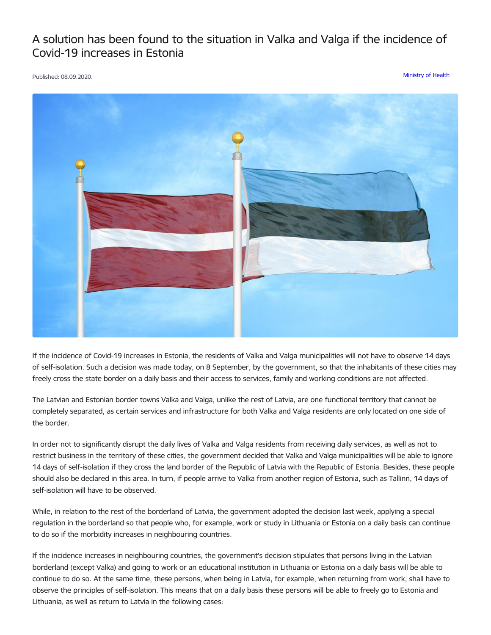## A solution has been found to the situation in Valka and Valga if the incidence of Covid-19 increases in Estonia

Published: 08.09.2020. [Ministry](https://www.mk.gov.lv/en/articles?category%255B156%255D=156) of Health



If the incidence of Covid-19 increases in Estonia, the residents of Valka and Valga municipalities will not have to observe 14 days of self-isolation. Such a decision was made today, on 8 September, by the government, so that the inhabitants of these cities may freely cross the state border on a daily basis and their access to services, family and working conditions are not affected.

The Latvian and Estonian border towns Valka and Valga, unlike the rest of Latvia, are one functional territory that cannot be completely separated, as certain services and infrastructure for both Valka and Valga residents are only located on one side of the border.

In order not to significantly disrupt the daily lives of Valka and Valga residents from receiving daily services, as well as not to restrict business in the territory of these cities, the government decided that Valka and Valga municipalities will be able to ignore 14 days of self-isolation if they cross the land border of the Republic of Latvia with the Republic of Estonia. Besides, these people should also be declared in this area. In turn, if people arrive to Valka from another region of Estonia, such as Tallinn, 14 days of self-isolation will have to be observed.

While, in relation to the rest of the borderland of Latvia, the government adopted the decision last week, applying a special regulation in the borderland so that people who, for example, work or study in Lithuania or Estonia on a daily basis can continue to do so if the morbidity increases in neighbouring countries.

If the incidence increases in neighbouring countries, the government's decision stipulates that persons living in the Latvian borderland (except Valka) and going to work or an educational institution in Lithuania or Estonia on a daily basis will be able to continue to do so. At the same time, these persons, when being in Latvia, for example, when returning from work, shall have to observe the principles of self-isolation. This means that on a daily basis these persons will be able to freely go to Estonia and Lithuania, as well as return to Latvia in the following cases: